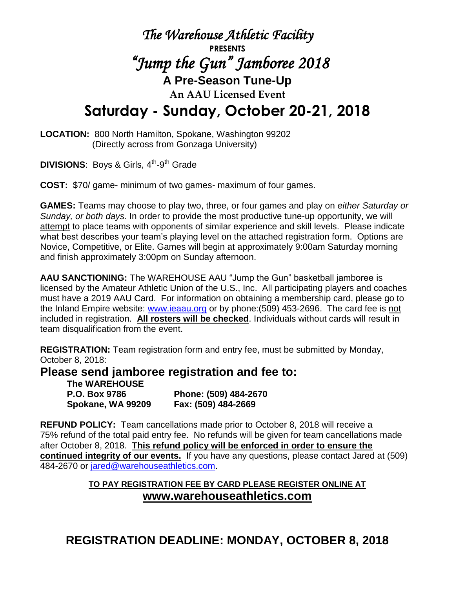## *The Warehouse Athletic Facility* **PRESENTS**  *"Jump the Gun" Jamboree 2018*  **A Pre-Season Tune-Up An AAU Licensed Event Saturday - Sunday, October 20-21, 2018**

**LOCATION:** 800 North Hamilton, Spokane, Washington 99202 (Directly across from Gonzaga University)

**DIVISIONS:** Boys & Girls, 4<sup>th</sup>-9<sup>th</sup> Grade

**COST:** \$70/ game- minimum of two games- maximum of four games.

**GAMES:** Teams may choose to play two, three, or four games and play on *either Saturday or Sunday, or both days*. In order to provide the most productive tune-up opportunity, we will attempt to place teams with opponents of similar experience and skill levels. Please indicate what best describes your team's playing level on the attached registration form. Options are Novice, Competitive, or Elite. Games will begin at approximately 9:00am Saturday morning and finish approximately 3:00pm on Sunday afternoon.

**AAU SANCTIONING:** The WAREHOUSE AAU "Jump the Gun" basketball jamboree is licensed by the Amateur Athletic Union of the U.S., Inc. All participating players and coaches must have a 2019 AAU Card. For information on obtaining a membership card, please go to the Inland Empire website: [www.ieaau.org](http://www.ieaau.org/) or by phone:(509) 453-2696. The card fee is not included in registration. **All rosters will be checked**. Individuals without cards will result in team disqualification from the event.

**REGISTRATION:** Team registration form and entry fee, must be submitted by Monday, October 8, 2018:

**Please send jamboree registration and fee to:**

| The WAREHOUSE        |                       |
|----------------------|-----------------------|
| <b>P.O. Box 9786</b> | Phone: (509) 484-2670 |
| Spokane, WA 99209    | Fax: (509) 484-2669   |

**REFUND POLICY:** Team cancellations made prior to October 8, 2018 will receive a 75% refund of the total paid entry fee. No refunds will be given for team cancellations made after October 8, 2018. **This refund policy will be enforced in order to ensure the continued integrity of our events.** If you have any questions, please contact Jared at (509) 484-2670 or [jared@warehouseathletics.com.](mailto:katie@warehouseathletics.com)

## **TO PAY REGISTRATION FEE BY CARD PLEASE REGISTER ONLINE AT www.warehouseathletics.com**

**REGISTRATION DEADLINE: MONDAY, OCTOBER 8, 2018**